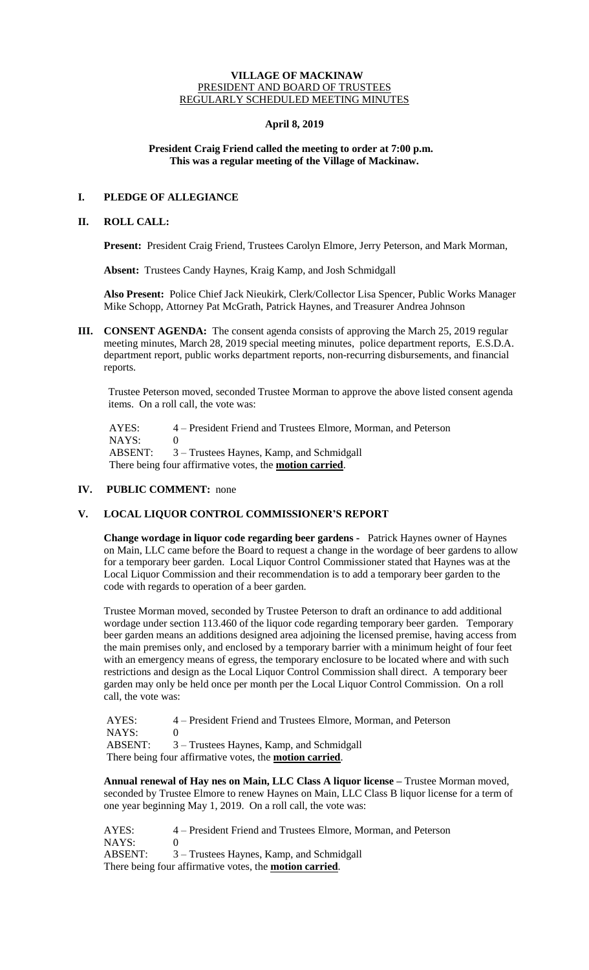#### **VILLAGE OF MACKINAW** PRESIDENT AND BOARD OF TRUSTEES REGULARLY SCHEDULED MEETING MINUTES

### **April 8, 2019**

## **President Craig Friend called the meeting to order at 7:00 p.m. This was a regular meeting of the Village of Mackinaw.**

# **I. PLEDGE OF ALLEGIANCE**

### **II. ROLL CALL:**

**Present:** President Craig Friend, Trustees Carolyn Elmore, Jerry Peterson, and Mark Morman,

**Absent:** Trustees Candy Haynes, Kraig Kamp, and Josh Schmidgall

**Also Present:** Police Chief Jack Nieukirk, Clerk/Collector Lisa Spencer, Public Works Manager Mike Schopp, Attorney Pat McGrath, Patrick Haynes, and Treasurer Andrea Johnson

**III. CONSENT AGENDA:** The consent agenda consists of approving the March 25, 2019 regular meeting minutes, March 28, 2019 special meeting minutes, police department reports, E.S.D.A. department report, public works department reports, non-recurring disbursements, and financial reports.

Trustee Peterson moved, seconded Trustee Morman to approve the above listed consent agenda items. On a roll call, the vote was:

 AYES: 4 – President Friend and Trustees Elmore, Morman, and Peterson NAYS: 0 ABSENT: 3 – Trustees Haynes, Kamp, and Schmidgall There being four affirmative votes, the **motion carried**.

# **IV. PUBLIC COMMENT:** none

## **V. LOCAL LIQUOR CONTROL COMMISSIONER'S REPORT**

**Change wordage in liquor code regarding beer gardens -** Patrick Haynes owner of Haynes on Main, LLC came before the Board to request a change in the wordage of beer gardens to allow for a temporary beer garden. Local Liquor Control Commissioner stated that Haynes was at the Local Liquor Commission and their recommendation is to add a temporary beer garden to the code with regards to operation of a beer garden.

Trustee Morman moved, seconded by Trustee Peterson to draft an ordinance to add additional wordage under section 113.460 of the liquor code regarding temporary beer garden. Temporary beer garden means an additions designed area adjoining the licensed premise, having access from the main premises only, and enclosed by a temporary barrier with a minimum height of four feet with an emergency means of egress, the temporary enclosure to be located where and with such restrictions and design as the Local Liquor Control Commission shall direct. A temporary beer garden may only be held once per month per the Local Liquor Control Commission. On a roll call, the vote was:

AYES: 4 – President Friend and Trustees Elmore, Morman, and Peterson NAYS: 0<br>ABSENT: 3 3 – Trustees Haynes, Kamp, and Schmidgall There being four affirmative votes, the **motion carried**.

**Annual renewal of Hay nes on Main, LLC Class A liquor license –** Trustee Morman moved, seconded by Trustee Elmore to renew Haynes on Main, LLC Class B liquor license for a term of one year beginning May 1, 2019. On a roll call, the vote was:

AYES: 4 – President Friend and Trustees Elmore, Morman, and Peterson NAYS: 0 ABSENT: 3 – Trustees Haynes, Kamp, and Schmidgall There being four affirmative votes, the **motion carried**.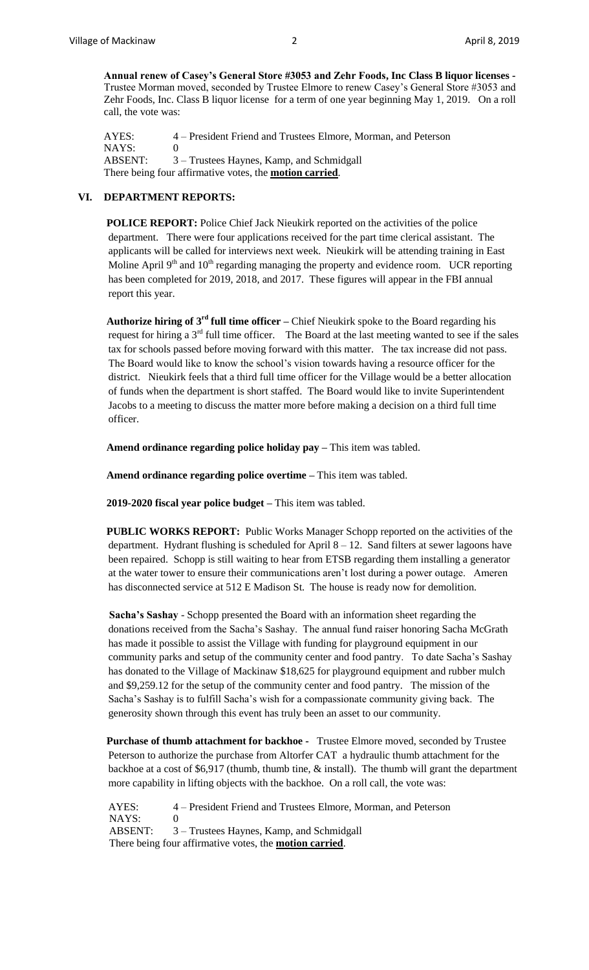**Annual renew of Casey's General Store #3053 and Zehr Foods, Inc Class B liquor licenses -** Trustee Morman moved, seconded by Trustee Elmore to renew Casey's General Store #3053 and Zehr Foods, Inc. Class B liquor license for a term of one year beginning May 1, 2019. On a roll call, the vote was:

AYES: 4 – President Friend and Trustees Elmore, Morman, and Peterson NAYS: 0 ABSENT: 3 – Trustees Haynes, Kamp, and Schmidgall There being four affirmative votes, the **motion carried**.

#### **VI. DEPARTMENT REPORTS:**

**POLICE REPORT:** Police Chief Jack Nieukirk reported on the activities of the police department. There were four applications received for the part time clerical assistant. The applicants will be called for interviews next week. Nieukirk will be attending training in East Moline April  $9<sup>th</sup>$  and  $10<sup>th</sup>$  regarding managing the property and evidence room. UCR reporting has been completed for 2019, 2018, and 2017. These figures will appear in the FBI annual report this year.

**Authorize hiring of 3rd full time officer –** Chief Nieukirk spoke to the Board regarding his request for hiring a  $3<sup>rd</sup>$  full time officer. The Board at the last meeting wanted to see if the sales tax for schools passed before moving forward with this matter. The tax increase did not pass. The Board would like to know the school's vision towards having a resource officer for the district. Nieukirk feels that a third full time officer for the Village would be a better allocation of funds when the department is short staffed. The Board would like to invite Superintendent Jacobs to a meeting to discuss the matter more before making a decision on a third full time officer.

**Amend ordinance regarding police holiday pay –** This item was tabled.

**Amend ordinance regarding police overtime –** This item was tabled.

**2019-2020 fiscal year police budget –** This item was tabled.

**PUBLIC WORKS REPORT:** Public Works Manager Schopp reported on the activities of the department. Hydrant flushing is scheduled for April 8 – 12. Sand filters at sewer lagoons have been repaired. Schopp is still waiting to hear from ETSB regarding them installing a generator at the water tower to ensure their communications aren't lost during a power outage. Ameren has disconnected service at 512 E Madison St. The house is ready now for demolition.

 **Sacha's Sashay** - Schopp presented the Board with an information sheet regarding the donations received from the Sacha's Sashay. The annual fund raiser honoring Sacha McGrath has made it possible to assist the Village with funding for playground equipment in our community parks and setup of the community center and food pantry. To date Sacha's Sashay has donated to the Village of Mackinaw \$18,625 for playground equipment and rubber mulch and \$9,259.12 for the setup of the community center and food pantry. The mission of the Sacha's Sashay is to fulfill Sacha's wish for a compassionate community giving back. The generosity shown through this event has truly been an asset to our community.

**Purchase of thumb attachment for backhoe -** Trustee Elmore moved, seconded by Trustee Peterson to authorize the purchase from Altorfer CAT a hydraulic thumb attachment for the backhoe at a cost of \$6,917 (thumb, thumb tine, & install). The thumb will grant the department more capability in lifting objects with the backhoe. On a roll call, the vote was:

AYES: 4 – President Friend and Trustees Elmore, Morman, and Peterson NAYS: 0 ABSENT: 3 – Trustees Haynes, Kamp, and Schmidgall There being four affirmative votes, the **motion carried**.